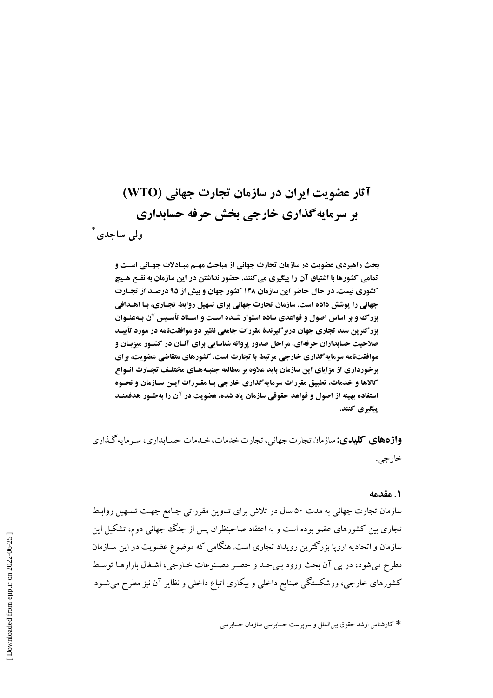# آثار عضویت ایران در سازمان تجارت جهانی (WTO) **بر سرمایهگذاری خارجی بخش حرفه حسابداری** ولم ساجدي

بحث راهبردی عضویت در سازمان تجارت جهانی از مباحث مهـم مبـادلات جهـانی اسـت و تمامی کشورها با اشتیاق آن را پیگیری می کنند. حضور نداشتن در این سازمان به نفـع هـیچ کشوری نیست. در حال حاضر این سازمان ۱۴۸ کشور جهان و بیش از ۹۵ درصـد از تجـارت جهانی را پوشش داده است. سازمان تجارت جهانی برای تسهیل روابط تجـاری، بـا اهـدافی بزرگ وو بر اساس اصول و قواعدی ساده استوار شـده اسـت و اسـناد تأسـیس آن بـهعنـوان بزرگترین سند تجاری جهان دربرگیرندهٔ مقررات جامعی نظیر دو موافقتنامه در مورد تأییـد صلاحیت حسابداران حرفهای، مراحل صدور پروانه شناسایی برای آنـان در کشـور میزبـان و موافقتنامه سرمایه گذاری خارجی مرتبط با تجارت است. کشورهای متقاضی عضویت، برای برخورداری از مزایای این سازمان باید علاوه بر مطالعه جنبـههـای مختلـف تجـارت انـواع **کالاها و خدمات، تطبیق مقررات سرمایهگذاری خارجی بـا مقـررات ایـن سـازمان و نحـوه** استفاده بهینه از اصول و قواعد حقوقی سازمان یاد شده، عضویت در آن را بهطـور هدفمنـد پیگیری کنند.

**واژههای کلیدی:** سازمان تجارت جهانب، تجارت خدمات، خیدمات حسیابداری، سه مایه گیذاری خار جي.

#### ١. مقدمه

سازمان تجارت جهانی به مدت ۵۰ سال در تلاش برای تدوین مقرراتی جـامع جهـت تسـهیل روابـط تجاری بین کشورهای عضو بوده است و به اعتقاد صاحبنظران پس از جنگ جهانی دوم، تشکیل این سازمان و اتحادیه اروپا بزرگترین رویداد تجاری است. هنگامی که موضوع عضویت در این سـازمان مطرح مي شود، در يي آن بحث ورود بي حـد و حصـر مصـنوعات خـارجي، اشـغال بازارهـا توسـط کشورهای خارجی، ورشکستگی صنایع داخلی و بیکاری اتباع داخلی و نظایر آن نیز مطرح میشـود.

<sup>\*</sup> كارشناس ارشد حقوق بين|لملل و سريرست حسابرسي سازمان حسابرسي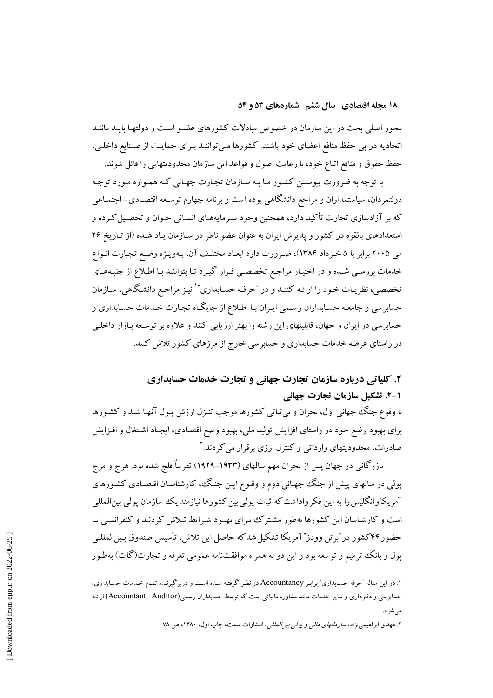محور اصلی بحث در این سازمان در خصوص مبادلات کشورهای عضـو اسـت و دولتهـا بایـد ماننـد اتحادیه در پی حفظ منافع اعضای خود باشند. کشورها میتواننـد بـرای حمایـت از صـنایع داخلـی، حفظ حقوق و منافع اتباع خود، با رعايت اصول و قواعد اين سازمان محدوديتهايي را قائل شوند.

با توجه به ضرورت پیوستن کشـور مـا بـه سـازمان تجـارت جهـانی کـه همـواره مـورد توجـه دولتمردان، سیاستمداران و مراجع دانشگاهی بوده است و برنامه چهارم توسعه اقتصـادی- اجتمـاعی که بر آزادسازی تجارت تأکید دارد، همچنین وجود سـرمایههـای انسـانی جـوان و تحصـیل کـرده و استعدادهای بالقوه در کشور و پذیرش ایران به عنوان عضو ناظر در سـازمان پـاد شـده (از تـاریخ ۲۶ می ۲۰۰۵ برابر با ۵ خـرداد ۱۳۸۴)، ضـرورت دارد ابعـاد مختلـف آن، بـهويـژه وضـع تجـارت انـواع خدمات بررسی شـده و در اختیـار مراجـع تخصصـی قـرار گیـرد تـا بتواننـد بـا اطـلاع از جنبـههـای تخصصی، نظریـات خـود را ارائـه كننـد و در "حرفـه حسـابداري" ٰ نيـز مراجـع دانشـگاهي، سـازمان حسابرسی و جامعه حسـابداران رسـمی ایـران بـا اطـلاع از جایگـاه تجـارت خـدمات حسـابداری و حسابرسی در ایران و جهان، قابلیتهای این رشته را بهتر ارزیابی کنند و علاوه بر توسـعه بـازار داخلـی در راستای عرضه خدمات حسابداری و حسابرسی خارج از مرزهای کشور تلاش کنند.

## ۲. کلیاتی درباره سازمان تجارت جهانی و تجارت خدمات حسابداری 1-2. تشكيل سازمان تجارت جهاني

با وقوع جنگ جهانی اول، بحران و بی ثباتی کشورها موجب تنـزل ارزش پـول آنهـا شـد و کشـورها برای بهبود وضع خود در راستای افزایش تولید ملی، بهبود وضع اقتصادی، ایجـاد اشـتغال و افـزایش صادرات، محدودیتهای وارداتی و کنترل ارزی برقرار می کردند. ۲

بازرگانی در جهان پس از بحران مهم سالهای (۱۹۳۳–۱۹۲۹) تقریباً فلج شده بود. هرج و مرج پولی در سالهای پیش از جنگ جهـانی دوم و وقـوع ایـن جنـگ، کارشناسـان اقتصـادی کشـورهای آمریکاوانگلیس را به این فکر واداشت که ثبات پولی بین کشورها نیازمندیک سازمان پولی بین|لمللی است و کارشناسان این کشورها بهطور مشترک برای بهبود شرایط تـلاش کردنـد و کنفرانسـی بـا حضور ۴۴کشور در "برتن وودز" آمريکا تشکيل شدکه حاصل اين تلاش، تأسيس صندوق بـين|لمللـي پول و بانک ترمیم و توسعه بود و این دو به همراه موافقتنامه عمومی تعرفه و تجارت(گات) بهطـور

۱. در این مقاله "حرفه حسـابداری" برابـر Accountancy در نظـر گرفتـه شـده اسـت و دربرگیرنـده تمـام خـدمات حسـابداری، حسابر سی و دفترداری و سایر خدمات مانند مشاوره مالیاتی است که توسط حسابداران رسمی(Accountant, Auditor)ارائـه مي شود.

۲. مهدی ابراهیمی نژاد، *سازمانهای مالی و یولی بیز المللی*، انتشارات سمت، چاپ اول، ۱۳۸۰، ص ۷۸.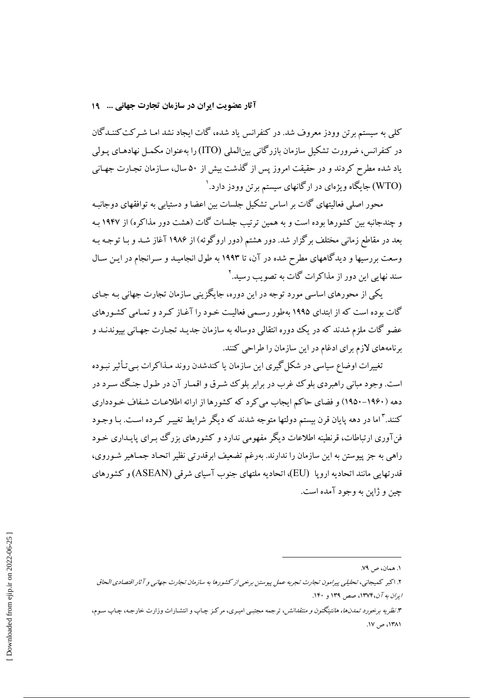آثار عضویت ایران در سازمان تجارت جهانی ... 19

کلی به سیستم برتن وودز معروف شد. در کنفرانس یاد شده، گات ایجاد نشد امـا شـرکت کننـدگان در کنفرانس، ضرورت تشکیل سازمان بازرگانی بین|لملی (ITO) را بهعنوان مکمـل نهادهـای پـولی یاد شده مطرح کردند و در حقیقت امروز پس از گذشت بیش از ۵۰ سال، سـازمان تجـارت جهـانی (WTO) جایگاه ویژهای در ارگانهای سیستم برتن وودز دارد.<sup>۱</sup>

محور اصلی فعالیتهای گات بر اساس تشکیل جلسات بین اعضا و دستیابی به توافقهای دوجانبـه و چندجانبه بین کشورها بوده است و به همین ترتیب جلسات گات (هشت دور مذاکره) از ۱۹۴۷ به بعد در مقاطع زمانی مختلف برگزار شد. دور هشتم (دور اروگوئه) از ۱۹۸۶ آغاز شـد و بـا توجـه بـه وسعت بررسیها و دیدگاههای مطرح شده در آن، تا ۱۹۹۳ به طول انجامیـد و سـرانجام در ایـن سـال سند نهایی این دور از مذاکرات گات به تصویب رسید. ۲

یکی از محورهای اساسی مورد توجه در این دوره، جایگزینی سازمان تجارت جهانی بـه جـای گات بوده است که از ابتدای ۱۹۹۵ بهطور رسمی فعالیت خـود را آغـاز کـرد و تمـامی کشـورهای عضو گات ملزم شدند که در یک دوره انتقالی دوساله به سازمان جدیـد تجـارت جهـانی بییوندنـد و برنامههای لازم برای ادغام در این سازمان را طراحی کنند.

تغییرات اوضاع سیاسی در شکل گیری این سازمان یا کندشدن روند مـذاکرات بـیتأثیر نبـوده است. وجود مباني راهبردي بلوک غرب در برابر بلوک شـرق و اقمـار آن در طـول جنـگ سـرد در دهه (۱۹۶۰–۱۹۵۰) و فضای حاکم ایجاب می کرد که کشورها از ارائه اطلاعـات شـفاف خـودداری کنند. آ اما در دهه پایان قرن بیستم دولتها متوجه شدند که دیگر شرایط تغییـر کـرده اسـت. بـا وجـود فنآوری ارتباطات، قرنطینه اطلاعات دیگر مفهومی ندارد و کشورهای بزرگ ببرای پایـداری خـود راهي به جز پيوستن به اين سازمان را ندارند. بهرغم تضعيف ابرقدرتي نظير اتحـاد جمـاهير شـوروي، قدرتهایی مانند اتحادیه اروپا (EU)، اتحادیه ملتهای جنوب آسیای شرقی (ASEAN) و کشورهای چين و ژاپن به وجود آمده است.

١. همان، ص ٧٩.

۲. اکبر کمیجانی، تحلیلی پیرامون تجارت تجربه عمل پیوستن برخبی از کشورها به سازمان تجارت جهانبی و آثار اقتصادی الحاق ایرا*ن به آن،۱*۳۷۴، صص ۱۳۹ و ۱۴۰.

۳. *نظریه برخورد تمدنها، هانتینگتون و منتقدانش،* ترجمه مجتببی امیـری، مرکـز چـاپ و انتشـارات وزارت خارجـه، چـاپ سـوم، ١٣٨١، ص ١٧.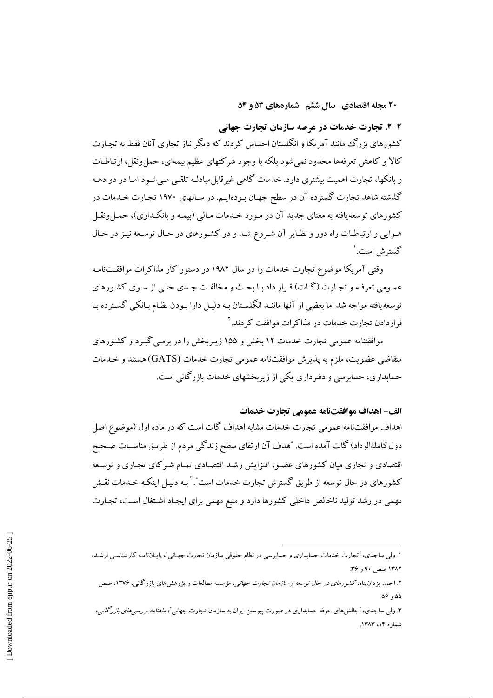۲-۲. تجارت خدمات در عرصه سازمان تجارت جهانی

کشورهای بزرگ مانند آمریکا و انگلستان احساس کردند که دیگر نیاز تجاری آنان فقط به تجـارت کالا و کاهش تعرفهها محدود نمی شود بلکه با وجود شرکتهای عظیم بیمهای، حمل ونقل، ارتباطـات و بانکها، تجارت اهمیت بیشتری دارد. خدمات گاهی غیرقابل مبادلـه تلقـبی مـی شـود امـا در دو دهـه گذشته شاهد تجارت گسترده آن در سطح جهـان بـودهايـم. در سـالهاي ۱۹۷۰ تجـارت خـدمات در کشورهای توسعه یافته به معنای جدید آن در مـورد خـدمات مـالی (بیمـه و بانکـداری)، حمـل ونقـل هـوايي و ارتباطـات راه دور و نظـاير آن شـروع شـد و در كشـورهاي در حـال توسـعه نيـز در حـال گسترش است.'

وقتی آمریکا موضوع تجارت خدمات را در سال ۱۹۸۲ در دستور کار مذاکرات موافقتنامه عمـومي تعرفـه و تجـارت (گـات) قـرار داد بـا بحـث و مخالفـت جـدي حتـي از سـوي كشـورهاي توسعه یافته مواجه شد اما بعضی از آنها ماننـد انگلسـتان بـه دلیـل دارا بـودن نظـام بـانکی گسـترده بـا قرار دادن تجارت خدمات در مذاکرات موافقت کردند. ۲

موافقتنامه عمومی تجارت خدمات ۱۲ بخش و ۱۵۵ زیـربخش را در برمـی گیـرد و کشـورهای متقاضی عضویت، ملزم به پذیرش موافقتنامه عمومی تجارت خدمات (GATS) هستند و خـدمات حسابداری، حسابرسی و دفترداری یکی از زیربخشهای خدمات بازرگانی است.

#### الف- اهداف موافقتنامه عمومي تجارت خدمات

اهداف موافقتنامه عمومی تجارت خدمات مشابه اهداف گات است که در ماده اول (موضوع اصل دول کاملةالوداد) گات آمده است. "هدف آن ارتقاي سطح زندگي مردم از طريـق مناسـبات صـحيح اقتصادی و تجاری میان کشورهای عضو، افـزایش رشـد اقتصـادی تمـام شـرکای تجـاری و توسـعه کشورهای در حال توسعه از طریق گسترش تجارت خدمات است". ٌ بـه دلیـل اینکـه خـدمات نقـش مهمی در رشد تولید ناخالص داخلی کشورها دارد و منبع مهمی برای ایجاد اشتغال است، تجارت

۱. ولی ساجدی، "تجارت خدمات حسابداری و حسابرسی در نظام حقوقی سازمان تجارت جهـانی"، پایـانiامـه کارشناسـی ارشـد، ۱۳۸۲ صص ۹۰ و ۳۶.

۲. احمد یزدان پناه،ک*شورهای در حال توسعه و سازمان تجارت جهان*ی، مؤسسه مطالعات و پژوهش های بازرگانی، ۱۳۷۶، صص ٥٥، ٥۶.

۳. ولمی ساجدی، گچالش۵های حرفه حسابداری در صورت پیوستن ایران به سازمان تجارت جهانی *ً، ماهنامه بررسی۵ای بازرگانی*، شماره ۱۴، ۱۳۸۳.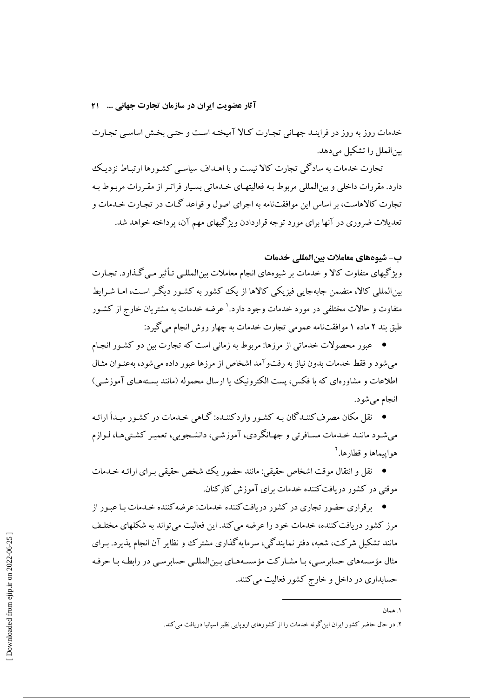آثار عضویت ایران در سازمان تجارت جهانی ... ۲۱

خدمات روز به روز در فراینـد جهـانی تجـارت كـالا آمیختـه اسـت و حتـی بخـش اساسـی تجـارت س الملل را تشکیل می دهد.

تجارت خدمات به سادگی تجارت کالا نیست و با اهـداف سیاسـی کشـورها ارتبـاط نزدیـک دارد. مقررات داخلی و بین المللی مربوط بـه فعالیتهـای خـدماتی بسـیار فراتـر از مقـررات مربـوط بـه تجارت کالاهاست، بر اساس این موافقتنامه به اجرای اصول و قواعد گـات در تجـارت خـدمات و تعدیلات ضروری در آنها برای مورد توجه قراردادن ویژگیهای مهم آن، پرداخته خواهد شد.

#### ب- شيوەهاي معاملات بينالمللي خدمات

ویژگیهای متفاوت کالا و خدمات بر شیوههای انجام معاملات بین|لمللـی تـأثیر مـی گـذارد. تجـارت بینالمللی کالا، متضمن جابهجایی فیزیکی کالاها از یک کشور به کشـور دیگـر اسـت، امـا شـراىط متفاوت و حالات مختلفی در مورد خدمات وجود دارد.<sup>\</sup> عرضه خدمات به مشتریان خارج از کشـور طبق بند ۲ ماده ۱ موافقتنامه عمومی تجارت خدمات به چهار روش انجام می گیرد:

● عبور محصولات خدماتی از مرزها: مربوط به زمانی است که تجارت بین دو کشـور انجـام می شود و فقط خدمات بدون نیاز به رفتوآمد اشخاص از مرزها عبور داده می شود، به عنـوان مثـال اطلاعات و مشاورهای که با فکس، پست الکترونیک یا ارسال محموله (مانند بستههـای آموزشـی) انجام مي شود.

● \_ نقل مکان مصرف کننـدگان بـه کشـور واردکننـده: گـاهـ، خـدمات در کشـور ميـدأ ارائـه می شود ماننـد خـدمات مسـافرتی و جهـانگردی، آموزشـی، دانشـجویی، تعمیـر کشـتیهـا، لـوازم هوابيماها و قطارها.

● نقل و انتقال موقت اشخاص حقیقی: مانند حضور یک شخص حقیقی بیرای ارائیه خیدمات موقتی در کشور در بافت کننده خدمات برای آموزش کارکنان.

● پرقراری حضور تجاری در کشور دریافتکننده خدمات: عرضه کننده خیدمات با عبور از پ مرز کشور دریافت کننده، خدمات خود را عرضه می کند. این فعالیت می تواند به شکلهای مختلـف مانند تشکیل شرکت، شعبه، دفتر نمایندگی، سرمایهگذاری مشترک و نظایر آن انجام پذیرد. بـرای مثال مؤسسههای حسابرسی، بـا مشـارکت مؤسسـههـای بـین|لمللـی حسابرسـی در رابطـه بـا حرفـه حسابداری در داخل و خارج کشور فعالیت می کنند.

۱ همان

۲. در حال حاضر کشور ایران این گونه خدمات را از کشورهای اروپایی نظیر اسپانیا دریافت می کند.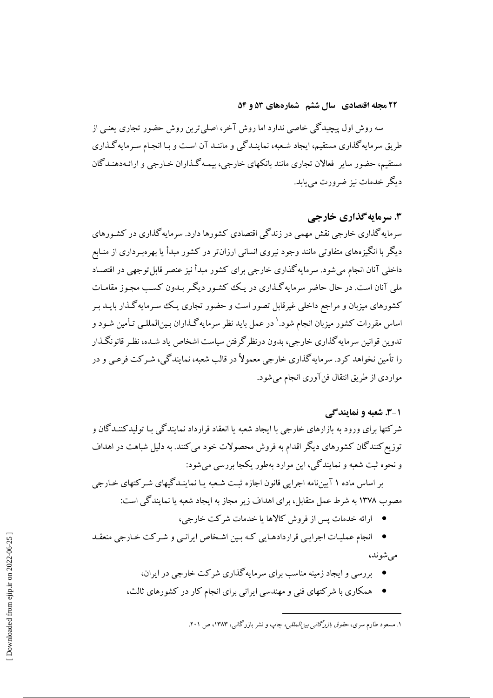سه روش اول پیچیدگی خاصی ندارد اما روش آخر، اصلی ترین روش حضور تجاری یعنبی از طریق سرمایهگذاری مستقیم، ایجاد شـعبه، نماینـدگی و ماننـد آن اسـت و بـا انجـام سـرمایهگـذاری مستقیم، حضور سایر فعالان تجاری مانند بانکهای خارجی، بیمـه گـذاران خـارجی و ارائـهدهنـدگان دیگر خدمات نیز ضرورت می باید.

۳. سرما به گذاری خارجی

سرمایه گذاری خارجی نقش مهمی در زندگی اقتصادی کشورها دارد. سرمایه گذاری در کشـورهای دیگر با انگیزههای متفاوتی مانند وجود نیروی انسانی ارزان تر در کشور مبدأ یا بهرهبـرداری از منـابع داخلی آنان انجام می شود. سرمایه گذاری خارجی برای کشور مبدأ نیز عنصر قابل توجهی در اقتصاد ملي آنان است. در حال حاضر سرمايه گـذاري در يـک کشـور ديگـر بـدون کسـب مجـوز مقامـات کشورهای میزبان و مراجع داخلی غیرقابل تصور است و حضور تجاری یـک سـرمایهگـذار بایــد بـر اساس مقررات کشور میزبان انجام شود.' در عمل باید نظر سرمایهگـذاران بـین|لمللـی تـأمین شـود و تدوین قوانین سرمایه گذاری خارجی، بدون درنظر گرفتن سیاست اشخاص یاد شیده، نظیر قانونگیذار را تأمین نخواهد کرد. سرمایه گذاری خارجے معمولاً در قالب شعبه، نمایندگی، شیرکت فرعبی و در مواردي از طريق انتقال فن آوري انجام مي شود.

#### ۰۱-۳. شعبه و نمایند گے

شرکتها برای ورود به بازارهای خارجی با ایجاد شعبه یا انعقاد قرارداد نمایندگی بـا تولیدکننـدگان و توزیع کنندگان کشورهای دیگر اقدام به فروش محصولات خود می کنند. به دلیل شباهت در اهداف و نحوه ثبت شعبه و نمایندگی، این موارد بهطور یکجا بررسی می شود:

بر اساس ماده ۱ آیینiامه اجرایی قانون اجازه ثبت شعبه یـا نماینـدگیهای شـرکتهای خـارجی مصوب ۱۳۷۸ به شرط عمل متقابل، برای اهداف زیر مجاز به ایجاد شعبه یا نمایندگی است:

- ارائه خدمات پس از فروش کالاها یا خدمات شرکت خارجی،
- انجام عملیات اجرایبی قراردادهـایی کـه بـین اشـخاص ایرانـی و شـرکت خـارجی منعقـد مے شوند،
	- \_ بررسی و ایجاد زمینه مناسب برای سرمایه گذاری شرکت خارجی در ایران،
	- همکاری با شرکتهای فنی و مهندسی ایرانی برای انجام کار در کشورهای ثالث،

۱. مسعود طارم سری، *حقوق باز دگانی بیز العللی،* چاپ و نشر باز د گانی، ۱۳۸۳، ص ۲۰۱.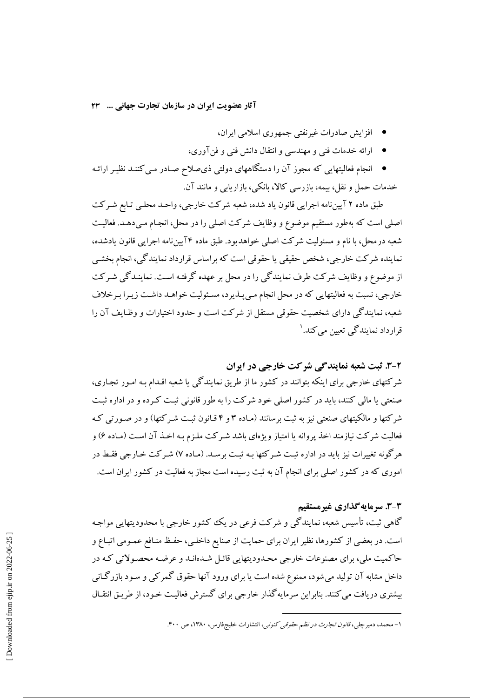آثار عضويت ايران در سازمان تجارت جهاني ... ٢٣

- افزایش صادرات غیرنفتی جمهوری اسلامی ایران،
- ارائه خدمات فني و مهندسي و انتقال دانش فني و فن آوري،
- انجام فعالیتهایی که مجوز آن را دستگاههای دولتی ذی0سلاح صـادر مـی کننـد نظیـر ارائـه خدمات حمل و نقل، بیمه، بازرسی کالا، بانکی، بازاریابی و مانند آن.

طبق ماده ۲ آیینiامه اجرایی قانون یاد شده، شعبه شرکت خارجی، واحـد محلـی تـابع شـرکت اصلی است که بهطور مستقیم موضوع و وظایف شرکت اصلی را در محل، انجـام مـیدهـد. فعالیـت شعبه در محل، با نام و مسئولیت شرکت اصلی خواهدبود. طبق ماده ۴ آیینiامه اجرایی قانون یادشده، نماینده شرکت خارجی، شخص حقیقی یا حقوقی است که براساس قرارداد نمایندگی، انجام بخشبی از موضوع و وظایف شرکت طرف نمایندگی را در محل بر عهده گرفتـه اسـت. نماینـدگی شـرکت خارجی، نسبت به فعالیتهایی که در محل انجام مے پیذیرد، مسئولیت خواهـد داشـت زیـرا بـرخلاف شعبه، نمایندگی دارای شخصیت حقوقی مستقل از شرکت است و حدود اختیارات و وظـایف آن را قرارداد نمایندگی تعیین می کند. ۱

#### ۲-۳. ثبت شعبه نمایندگی شرکت خارجی در ایران

شرکتهای خارجی برای اینکه بتوانند در کشور ما از طریق نمایندگی یا شعبه اقـدام بـه امـور تجـاری، صنعتی یا مالی کنند، باید در کشور اصلی خود شرکت را به طور قانونی ثبت کرده و در اداره ثبت شرکتها و مالکیتهای صنعتی نیز به ثبت برسانند (مـاده ۳ و ۴ قـانون ثبـت شـرکتها) و در صـورتی کـه فعالیت شرکت نیازمند اخذ پروانه یا امتیاز ویژهای باشد شـرکت ملـزم بـه اخـذ آن اسـت (مـاده ۶) و هرگونه تغییرات نیز باید در اداره ثبت شـرکتها بـه ثبـت برسـد. (مـاده ۷) شـرکت خـارجی فقـط در اموری که در کشور اصلی برای انجام آن به ثبت رسیده است مجاز به فعالیت در کشور ایران است.

## 3-3. سرمایه گذاری غیرمستقیم

گاهي ثبت، تأسيس شعبه، نمايندگي و شركت فرعي در يك كشور خارجي با محدوديتهايي مواجـه است. در بعضی از کشورها، نظیر ایران برای حمایت از صنایع داخلبی، حفـظ منـافع عمـومی اتبـاع و حاکمیت ملی، برای مصنوعات خارجی محـدودیتهایی قائـل شـدهانـد و عرضـه محصـولاتی کـه در داخل مشابه آن تولید می شود، ممنوع شده است یا برای ورود آنها حقوق گمرکی و سـود بازرگـانی پیشتری در بافت می کنند. بنابراین سرمایه گذار خارجی برای گسترش فعالیت خبود، از طریق انتقبال

۱– محمد، دمیر چل<sub>ه ،</sub>، ق*انون تجارت در نظم حقوقی کنونی*، انتشارات خلیجفارس، ۱۳۸۰، ص ۴۰۰.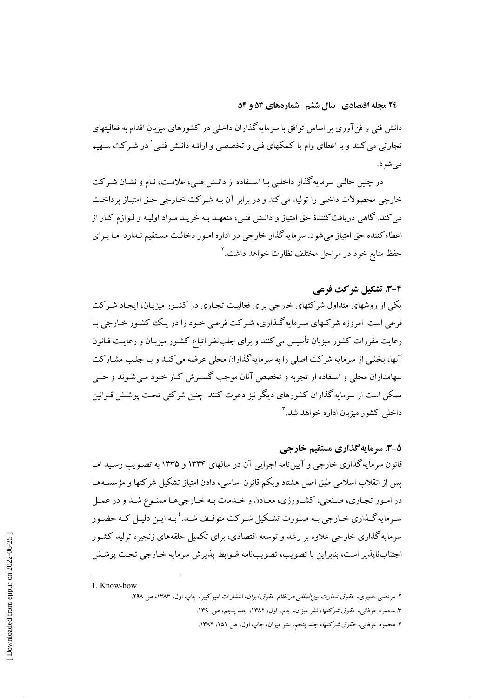۲٤ مجله اقتصادي \_سال ششم \_شمارههاي ٥٣ و ٥٤

دانش فنی و فن آوری بر اساس توافق با سرمایه گذاران داخلی در کشورهای میزبان اقدام به فعالیتهای تجارتی می کنند و با اعطای وام یا کمکهای فنی و تخصصی و ارائـه دانـش فنـی <sup>۱</sup> در شـرکت سـهیم مې شود.

در چنین حالتی سرمایه گذار داخلبی بـا اسـتفاده از دانـش فنـی، علامـت، نـام و نشـان شـرکت خارجی محصولات داخلی را تولید می کند و در برابر آن بـه شـرکت خـارجی حـق امتیـاز پرداخـت می کند. گاهی دریافت کنندهٔ حق امتیاز و دانـش فنـی، متعهـد بـه خریـد مـواد اولیـه و لـوازم کـار از اعطاءکننده حق امتیاز می شود. سرمایه گذار خارجی در اداره امـور دخالـت مسـتقیم نـدارد امـا بـرای حفظ منابع خود در مراحل مختلف نظارت خواهد داشت.<sup>۲</sup>

## 2-3. تشكيل شركت فرعي

یکی از روشهای متداول شرکتهای خارجی برای فعالیت تجـاری در کشـور میزبـان، ایجـاد شـرکت فرعی است. امروزه شرکتهای سیرمایه گـذاری، شیر کت فرعبی خـود را در یـک کشـور خـارجی بـا رعایت مقررات کشور میزبان تأسیس می کنند و برای جلبنظر اتباع کشـور میزبـان و رعایـت قـانون آنها، بخشی از سرمایه شرکت اصلی را به سرمایه گذاران محلی عرضه می کنند و بـا جلـب مشـارکت سهامداران محلی و استفاده از تجربه و تخصص آنان موجب گسترش کـار خـود مـی شـوند و حتـی ممکن است از سرمایه گذاران کشورهای دیگر نیز دعوت کنند. چنین شرکتی تحت پوشش قـوانین داخلي کشور ميزمان اداره خواهد شد.<sup>۳</sup>

### **5-3. سرمایهگذاری مستقیم خارجی**

قانون سرمایه گذاری خارجی و آیینiامه اجرایی آن در سالهای ۱۳۳۴ و ۱۳۳۵ به تصـویب رسـید امـا پس از انقلاب اسلامی طبق اصل هشتاد ویکم قانون اساسی، دادن امتیاز تشکیل شرکتها و مؤسسـههـا در امـور تجـاري، صـنعتي، كشـاورزي، معـادن و خـدمات بـه خـارجيهـا ممنـوع شـد و در عمـل سـرمايهگـذاري خـارجي بـه صـورت تشـكيل شـركت متوقـف شـد. ٔ بـه ايـن دليـل كـه حضـور سرمایه گذاری خارجی علاوه بر رشد و توسعه اقتصادی، برای تکمیل حلقههای زنجیره تولید کشـور اجتناب ناپذير است، بنابراين با تصويب، تصويبنامه ضوابط پذيرش سرمايه خـارجي تحـت پوشـش

<sup>1.</sup> Know-how

۲. مرتضی نصیری، *حقوق تجارت بیز المللی در نظام حقوق ایران*، انتشارات امیر کبیر، چاپ اول، ۱۳۸۳، ص ۲۹۸.

۳. محمود عرفانی، ح*قوق شرکتها*، نشر میزان، چاپ اول، ۱۳۸۲، جلد پنجم، ص. ۱۳۹.

۴. محمود عرفانی، *حقوق شرکتها*، جلد پنجم، نشر میزان، چاپ اول، ص ۱۵۱، ۱۳۸۲.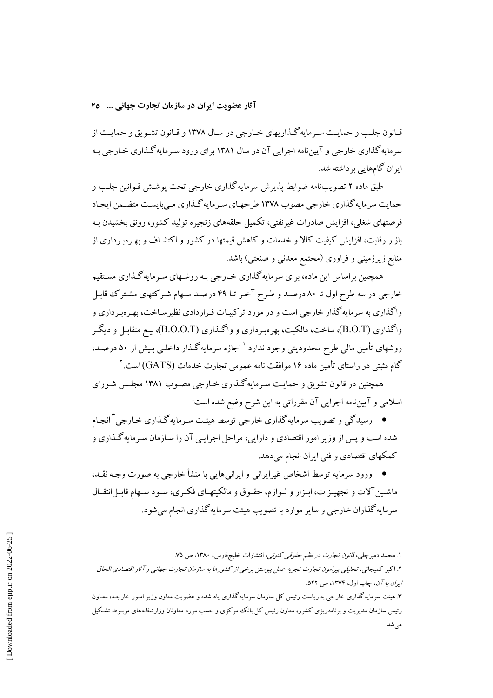قـانون جلـب و حمايـت سـرمايهگـذاريهاي خـارجي در سـال ١٣٧٨ و قـانون تشـويق و حمايـت از سرمایه گذاری خارجی و آیین نامه اجرایی آن در سال ۱۳۸۱ برای ورود سیرمایه گیذاری خیارجی بیه ابران گامهایی بر داشته شد.

طبق ماده ۲ تصویبنامه ضوابط پذیرش سرمایه گذاری خارجی تحت پوشش قـوانین جلـب و حمایت سرمایه گذاری خارجی مصوب ۱۳۷۸ طرحهـای سـرمایه گـذاری مـی بایسـت متضـمن ایجـاد فرصتهای شغلی، افزایش صادرات غیرنفتی، تکمیل حلقههای زنجیره تولید کشور، رونق بخشیدن بـه بازار رقابت، افزایش کیفیت کالا و خدمات و کاهش قیمتها در کشور و اکتشـاف و بهـرهبـرداری از منابع زیرزمینی و فراوری (مجتمع معدنی و صنعتی) باشد.

همچنین براساس این ماده، برای سرمایه گذاری خـارجی بـه روشـهای سـرمایه گـذاری مسـتقیم خارجی در سه طرح اول تا ۸۰ درصـد و طـرح آخـر تـا ۴۹ درصـد سـهام شـر کتهای مشـتر کـُ قابـل واگذاری به سرمایه گذار خارجی است و در مورد ترکیبات قـراردادی نظیرسـاخت، بهـرهبـرداری و واگذاری (B.O.T)، ساخت، مالکیت، بهرهبرداری و واگـذاری (B.O.O.T)، بیـع متقابـل و دیگـر روشهای تأمین مالی طرح محدودیتی وجود ندارد.` اجازه سرمایهگذار داخلـی بـیش از ۵۰ درصـد، گام مثبتی در راستای تأمین ماده ۱۶ موافقت نامه عمومی تجارت خدمات (GATS) است.<sup>۲</sup>

همچنین در قانون تشویق و حمایت سـرمایهگـذاری خـارجی مصـوب ۱۳۸۱ مجلـس شـورای اسلامی و آییننامه اجرایی آن مقرراتی به این شرح وضع شده است:

● رسیدگی و تصویب سرمایهگذاری خارجی توسط هیئت سـرمایهگـذاری خـارجی ٌ انجـام شده است و پس از وزیر امور اقتصادی و دارایی، مراحل اجرایـی آن را سـازمان سـرمایه گـذاری و کمکهای اقتصادی و فنی ایران انجام میدهد.

● ورود سرمایه توسط اشخاص غیرایرانی و ایرانیهایی با منشأ خارجی به صورت وجـه نقـد، ماشـین آلات و تجهیـزات، ابـزار و لـوازم، حقـوق و مالکیتهـای فکـری، سـود سـهام قابـلانتقـال سرمایه گذاران خارجی و سایر موارد با تصویب هیئت سرمایه گذاری انجام می شود.

۱. محمد دمیرچلی، ق*انون تجارت در نظم حقوقی کنونی،* انتشارات خلیجفارس، ۱۳۸۰، ص ۷۵.

۲. اکبر کمیجانی، تحلیلی پیرامون تجارت تجربه عمل پیوستن برخی از کشورها به سازمان تجارت جهانی و آثار اقتصادی الحاق *ایران به آن*، چاپ اول، ۱۳۷۴، ص ۵۲۲.

۳. هیئت سرمایه گذاری خارجی به ریاست رئیس کل سازمان سرمایه گذاری یاد شده و عضویت معاون وزیر امـور خارجـه، معـاون رئیس سازمان مدیریت و برنامهریزی کشور، معاون رئیس کل بانک مرکزی و حسب مورد معاونان وزارتخانههای مربـوط تشکیل مى شد.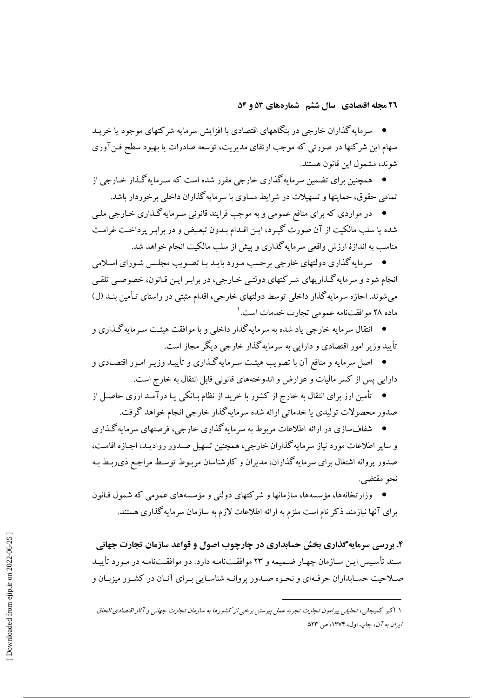● سرمایهگذاران خارجی در بنگاههای اقتصادی با افزایش سرمایه شرکتهای موجود یا خریـد سهام این شرکتها در صورتی که موجب ارتقای مدیریت، توسعه صادرات یا بهبود سطح فـنآوری شوند، مشمول این قانون هستند.

● همچنین برای تضمین سرمایهگذاری خارجی مقرر شده است که سـرمایهگـذار خـارجی از تمامی حقوق، حمایتها و تسهیلات در شرایط مساوی با سرمایه گذاران داخلی بر خوردار باشد.

• در مواردي كه براي منافع عمومي و به موجب فرايند قانوني سـرمايه گـذاري خـارجي ملـي شده یا سلب مالکیت از آن صورت گیرد، این اقـدام بـدون تبعـیض و در برابـر پرداخـت غرامـت مناسب به اندازهٔ ارزش واقعی سرمایه گذاری و پیش از سلب مالکیت انجام خواهد شد.

• سرمایه گذاری دولتهای خارجی برحسب مـورد بایـد بـا تصـویب مجلـس شـورای اسـلامی انجام شود و سرمایه گـذاریهای شـرکتهای دولتـی خـارجی، در برابـر ایـن قـانون، خصوصـی تلقـی می شوند. اجازه سرمایه گذار داخلی توسط دولتهای خارجی، اقدام مثبتی در راستای تـأمین بنـد (ل) ماده ۲۸ موافقتنامه عمومی تجارت خدمات است. ۱

● انتقال سرمایه خارجی یاد شده به سرمایهگذار داخلی و با موافقت هیئت سـرمایهگـذاری و تأیید وزیر امور اقتصادی و دارایی به سرمایهگذار خارجی دیگر مجاز است.

● اصل سرمایه و منافع آن با تصویب هیئت سـرمایهگـذاری و تأییـد وزیـر امـور اقتصـادی و دارایی پس از کسر مالیات و عوارض و اندوختههای قانونی قابل انتقال به خارج است.

● تأمین ارز برای انتقال به خارج از کشور با خرید از نظام بـانکی یـا درآمـد ارزی حاصـل از صدور محصولات تولیدی یا خدماتی ارائه شده سرمایه گذار خارجی انجام خواهد گرفت.

● \_ شفافسازی در ارائه اطلاعات مربوط به سرمایه گذاری خارجی، فرصتهای سرمایه گـذاری و سایر اطلاعات مورد نیاز سرمایه گذاران خارجی، همچنین تسهیل صـدور روادیـد، اجـازه اقامـت، صدور پروانه اشتغال برای سرمایه گذاران، مدیران و کارشناسان مربـوط توسـط مراجـع ذی٫بـط بـه نحو مقتضبي.

• وزارتخانهها، مؤسسهها، سازمانها و شركتهاى دولتى و مؤسسههاى عمومى كه شمول قـانون برای آنها نیازمند ذکر نام است ملزم به ارائه اطلاعات لازم به سازمان سرمایه گذاری هستند.

۴. بررسی سرمایهگذاری بخش حسابداری در چارچوب اصول و قواعد سازمان تجارت جهانی سند تأسـيس ايـن سـازمان چهـار ضـميمه و ٢٣ موافقـتنامـه دارد. دو موافقـتنامـه در مـورد تأييـد صیلاحت حسابداران حرفیهای و نحیوه صیدور پروانیه شناسیایی سرای آنیان در کشیور میزبیان و

١. اكبر كميجاني، تحليلي بيرامون تجارت تجربه عمل بيوستن برخي از كشورها به سازمان تجارت جهاني و آثار اقتصادي الحاق ابرا*ن به آن*، چاپ اول، ۱۳۷۴، ص ۵۲۳.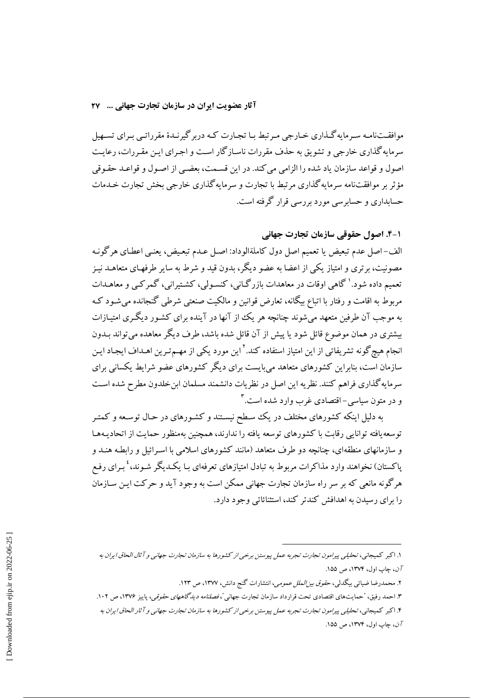موافقــتـنامـه سـرمايهگــذاري خــارجي مــرتبط بــا تجــارت كــه دربر گيرنــدۀ مقرراتــي بــراي تســهيل سرمایه گذاری خارجی و تشویق به حذف مقررات ناسـازگار اسـت و اجـرای ایـن مقـررات، رعایـت اصول و قواعد سازمان ياد شده را الزامي مي كند. در اين قسـمت، بعضـي از اصـول و قواعـد حقـوقي مؤثر بر موافقتنامه سرمایه گذاری مرتبط با تجارت و سرمایه گذاری خارجی بخش تجارت خـدمات حسابداری و حسابر سے مورد بررسے قرار گرفته است.

## ۱-۴. اصول حقوقی سازمان تجارت جهانی

الف-اصل عدم تبعيض يا تعميم اصل دول كاملةالوداد: اصـل عـدم تبعـيض، يعنـي اعطـاي هرگونـه مصونیت، برتری و امتیاز یکی از اعضا به عضو دیگر، بدون قید و شرط به سایر طرفهـای متعاهــد نیــز تعمیم داده شود.' گاهی اوقات در معاهدات بازرگـانی، کنسـولی، کشـتیرانی، گمرکـی و معاهــدات مربوط به اقامت و رفتار با اتباع بیگانه، تعارض قوانین و مالکیت صنعتی شرطی گنجانده می شـود کـه به موجب آن طرفین متعهد می شوند چنانچه هر یک از آنها در آینده برای کشـور دیگـری امتیـازات بیشتری در همان موضوع قائل شود یا پیش از آن قائل شده باشد، طرف دیگر معاهده می تواند بـدون انجام هیچ گونه تشریفاتی از این امتیاز استفاده کند.<sup>۲</sup> این مورد یکی از مهـمتـرین اهـداف ایجـاد ایـن سازمان است، بنابراین کشورهای متعاهد می بایست برای دیگر کشورهای عضو شرایط یکسانی برای سرمایه گذاری فراهم کنند. نظریه این اصل در نظریات دانشمند مسلمان ابن خلدون مطرح شده است و در متون سیاسی-اقتصادی غرب وارد شده است.

به دلیل اینکه کشورهای مختلف در یک سطح نیستند و کشـورهای در حـال توسـعه و کمتـر توسعه یافته توانایی رقابت با کشورهای توسعه یافته را ندارند، همچنین بهمنظور حمایت از اتحادیـههـا و سازمانهای منطقهای، چنانچه دو طرف متعاهد (مانند کشورهای اسلامی با اسـرائیل و رابطـه هنـد و پاکستان) نخواهند وارد مذاکرات مربوط به تبادل امتیازهای تعرفهای بـا یکـدیگر شـوند، ٔ بـرای رفـع هرگونه مانعی که بر سر راه سازمان تجارت جهانی ممکن است به وجود آید و حرکت ایـن سـازمان را برای رسیدن به اهدافش کندتر کند، استثنائاتی وجود دارد.

- ۲. محمدرضا ضیائی بیگدلی، ح*قوق بیزالملل عمومی*، انتشارات گنج دانش، ۱۳۷۷، ص ۱۲۳
- ۳. احمد رفیق، "حمایتهای اقتصادی تحت قرارداد سازمان تجارت جهانی *"، فصلنامه دیدگاههای حقوقی*، پاییز ۱۳۷۶، ص ۱۰۲.

۴. اکبر کمیجانی، تحلیلی پیرامون تجارت تجربه عمل پیوستن برخی از کشورها به سازمان تجارت جهانی و آثار الحاق ایران به  $100 \text{ m}$ ن، چاپ اول، ۱۳۷۴، ص ۱۵۵.

۱. اکبر کمیجانی، تحلیلی پیرامون تجارت تجربه عمل پیوستن برخی از کشورها به سازمان تجارت جهانی و آثال الحاق ایران به آن، چاپ اول، ١٣٧۴، ص ١۵۵.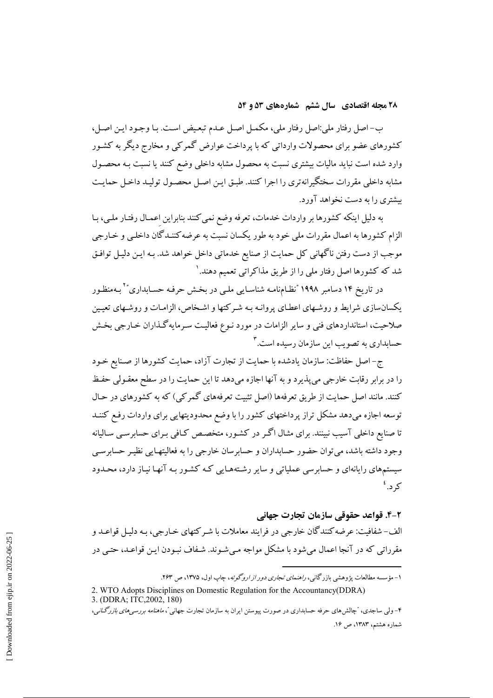ب- اصل رفتار ملي:اصل رفتار ملي، مكمـل اصـل عــدم تبعـيض اسـت. بـا وجـود ايـن اصـل، کشورهای عضو برای محصولات وارداتی که با پرداخت عوارض گمرکی و مخارج دیگر به کشـور وارد شده است نباید مالیات بیشتری نسبت به محصول مشابه داخلی وضع کنند یا نسبت بـه محصـول مشابه داخلی مقررات سختگیرانهتری را اجرا کنند. طبق ایـن اصـل محصـول تولیـد داخـل حمایـت بیشتری را به دست نخواهد آورد.

به دلیل اینکه کشورها بر واردات خدمات، تعرفه وضع نمی کنند بنابراین اعمـال رفتـار ملـی، بـا الزام كشورها به اعمال مقررات ملي خود به طور يكسان نسبت به عرضه كننـدگان داخلـي و خـارجي موجب از دست رفتن ناگهانی کل حمایت از صنایع خدماتی داخل خواهد شد. بـه ایـن دلیـل توافـق شد که کشورها اصل رفتار ملی را از طریق مذاکراتی تعمیم دهند. ۱

در تاریخ ۱۴ دسامبر ۱۹۹۸ "نظـامiامـه شناسـایی ملـی در بخـش حرفـه حسـابداری"<sup>۲</sup> بـهمنظـور یکسانسازی شرایط و روشهای اعطـای پروانـه بـه شـرکتها و اشـخاص، الزامـات و روشـهای تعیـین صلاحیت، استانداردهای فنی و سایر الزامات در مورد نـوع فعالیـت سـرمایهگـذاران خـارجی بخـش حسابداری به تصویب این سازمان رسیده است.۳

ج-اصل حفاظت: سازمان يادشده با حمايت از تجارت آزاد، حمايت كشورها از صـنايع خـود را در برابر رقابت خارجي مي پذيرد و به آنها اجازه مي دهد تا اين حمايت را در سطح معقـولي حفـظ کنند. مانند اصل حمایت از طریق تعرفهها (اصل تثبیت تعرفههای گمرکی) که به کشورهای در حـال .<br>توسعه اجازه میدهد مشکل تراز پرداختهای کشور را با وضع محدودیتهایی برای واردات رفع کننـد .<br>تا صنایع داخلی آسیب نبینند. برای مثـال اگـر در کشـور، متخصـص کـافی بـرای حسابرسـی سـالیانه وجود داشته باشد، می توان حضور حسابداران و حسابرسان خارجی را به فعالیتهـایی نظیـر حسابرسـی سیستمهای رایانهای و حسابرسی عملیاتی و سایر رشتههـایی کـه کشـور بـه آنهـا نیـاز دارد، محـدود کر د. ٔ

#### ٢-۴. قواعد حقوقي سازمان تجارت جهاني

الف- شفافت: عرضه کنند گان خارجی در فرایند معاملات یا شیر کتهای خیارجی، به دلیل قواعید و مقرراتی که در آنجا اعمال می شود یا مشکل مواجه مے شـوند. شـفاف نسودن ایـن قواعـد، حتـی در

۱- مؤسسه مطالعات پژوهشی بازرگانی، *راهنمای تجاری دور از اروگوئه*، چاپ اول، ۱۳۷۵، ص ۲۶۳.

<sup>2.</sup> WTO Adopts Disciplines on Domestic Regulation for the Accountancy(DDRA) 3. (DDRA; ITC, 2002, 180)

۴– ولمی ساجدی، "چالش۵های حرفه حسابداری در صورت پیوستن ایران به سازمان تجارت جهانی*"، ماهنامه بررسی۵ای بازرگنان*ی، شماره هشتم، ١٣٨٣، ص ١۶.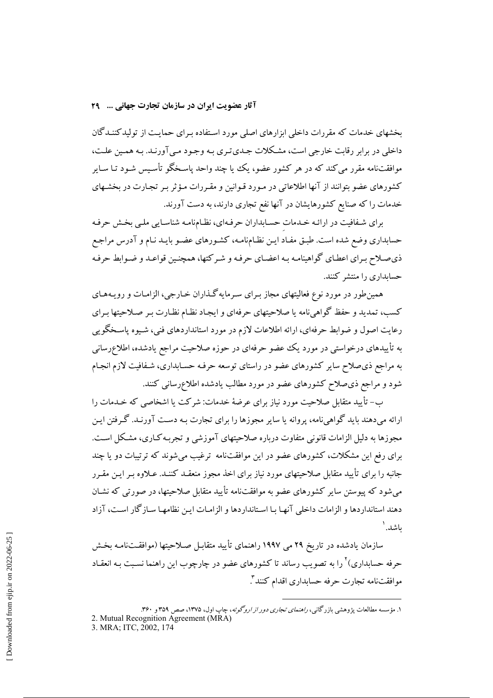آثار عضویت ایران در سازمان تجارت جهانی ... ٢٩

بخشهای خدمات که مقررات داخلی ابزارهای اصلی مورد استفاده بـرای حمایـت از تولیدکننـدگان داخلي در برابر رقابت خارجي است، مشكلات جيدي تيري په وجود مي آورنيد. په همين علت، موافقتنامه مقرر می کند که در هر کشور عضو، یک یا چند واحد پاسخگو تأسیس شود تیا سایر کشورهای عضو بتوانند از آنها اطلاعاتی در مـورد قـوانین و مقـررات مـؤثر بـر تجـارت در بخشـهای خدمات را که صنایع کشورهایشان در آنها نفع تجاری دارند، به دست آورند.

برای شفافیت در ارائـه خـدمات حسـابداران حرفـهای، نظـامنامـه شناسـایی ملـی بخـش حرفـه حسابداري وضع شده است. طبـق مفـاد ايـن نظـامنامـه، كشـورهاي عضـو بايـد نـام و آدرس مراجـع ذي صلاح بـراي اعطـاي گواهينامـه بـه اعضـاي حرفـه و شـرکتها، همچنـين قواعـد و ضـوابط حرفـه حسابداری را منتشر کنند.

همین طور در مورد نوع فعالیتهای مجاز بـرای سـرمایه گـذاران خـارجی، الزامـات و رویـههـای کسب، تمدید و حفظ گواهی نامه یا صلاحیتهای حرفهای و ایجـاد نظـام نظـارت بـر صـلاحیتها بـرای رعایت اصول و ضوابط حرفهای، ارائه اطلاعات لازم در مورد استانداردهای فنی، شیوه پاسـخگویی به تأییدهای درخواستی در مورد یک عضو حرفهای در حوزه صلاحیت مراجع یادشده، اطلاعرسانی به مراجع ذی صلاح سایر کشورهای عضو در راستای توسعه حرفـه حسـابداری، شـفافیت لازم انجـام شود و مراجع ذی صلاح کشورهای عضو در مورد مطالب یادشده اطلاعرسانی کنند.

ب– تأييد متقابل صلاحيت مورد نياز براي عرضهٔ خدمات: شركت يا اشخاصي كه خـدمات را ارائه میدهند باید گواهینامه، پروانه یا سایر مجوزها را برای تجارت بـه دسـت آورنـد. گـرفتن ایـن مجوزها به دلیل الزامات قانونی متفاوت درباره صلاحیتهای آموزشی و تجربـه کـاری، مشـکل اسـت. برای رفع این مشکلات، کشورهای عضو در این موافقتنامه ترغیب می شوند که ترتیبات دو یا چند جانبه را برای تأیید متقابل صلاحیتهای مورد نیاز برای اخذ مجوز منعقـد کننـد. عـلاوه بـر ایـن مقـرر می شود که پیوستن سایر کشورهای عضو به موافقتنامه تأیید متقابل صلاحیتها، در صورتی که نشـان دهند استانداردها و الزامات داخلی آنها با استانداردها و الزامات این نظامها سـازگار اسـت، آزاد ىاشد. `

سازمان یادشده در تاریخ ۲۹ می ۱۹۹۷ راهنمای تأیید متقابـل صـلاحیتها (موافقــتiامـه بخـش حرفه حسابداری)<sup>۲</sup> را به تصویب رساند تا کشورهای عضو در چارچوب این راهنما نسـبت بـه انعقـاد موافقتنامه تجارت حرفه حسابداری اقدام کنند".

۱. مؤسسه مطالعات پژوهشی بازرگانی، *راهنمای تجاری دور از اروگوئه*، چاپ اول، ۱۳۷۵، صص ۳۵۹ و ۳۶۰.<br>2. Mutual Recognition Agreement (MRA) 3. MRA; ITC, 2002, 174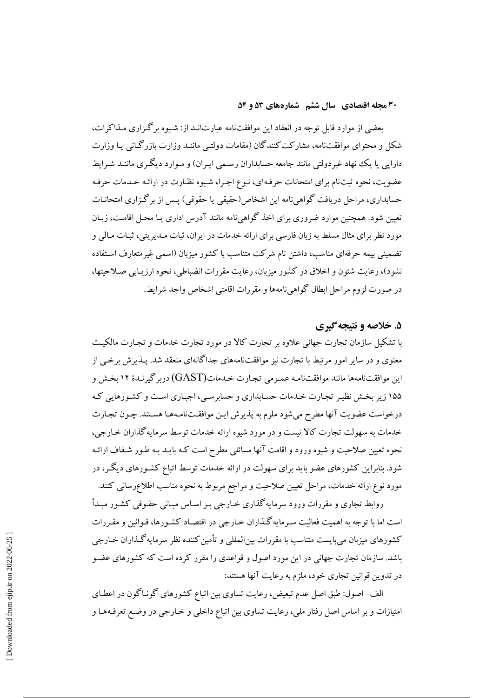بعضی از موارد قابل توجه در انعقاد این موافقتنامه عبارتانـد از: شـیوه بر گـزاری مـذاکرات، شکل و محتوای موافقتنامه، مشارکت کنندگان (مقامات دولتبی ماننـد وزارت بازرگـانبی یـا وزارت دارایی یا یک نهاد غیردولتی مانند جامعه حسابداران رسـمی ایـران) و مـوارد دیگـری ماننـد شـرایط عضویت، نحوه ثبتنام برای امتحانات حرفهای، نـوع اجـرا، شـیوه نظـارت در ارائـه خـدمات حرفـه حسابداری، مراحل دریافت گواهیینامه این اشخاص(حقیقی یا حقوقی) پـس از برگـزاری امتحانـات تعیین شود. همچنین موارد ضروری برای اخذ گواهی نامه مانند آدرس اداری یـا محـل اقامـت، زبـان مورد نظر برای مثال مسلط به زبان فارسی برای ارائه خدمات در ایران، ثبات مـدیریتی، ثبـات مـالی و تضمینی بیمه حرفهای مناسب، داشتن نام شرکت متناسب با کشور میزبان (اسمی غیرمتعارف استفاده نشود)، رعایت شئون و اخلاق در کشور میزبان، رعایت مقررات انضباطی، نحوه ارزیـابی صـلاحیتها، در صورت لزوم مراحل ابطال گواهی نامهها و مقررات اقامتی اشخاص واجد شرایط.

#### ۵. خلاصه و نتیجه گیری

با تشکیل سازمان تجارت جهانی علاوه بر تجارت کالا در مورد تجارت خدمات و تجـارت مالکیـت معنوی و در سایر امور مرتبط با تجارت نیز موافقتنامههای جداگانهای منعقد شد. پـذیرش برخـی از این موافقتنامهها مانند موافقتنامـه عمـومی تجـارت خـدمات(GAST) دربر گیرنـدهٔ ۱۲ بخـش و ۱۵۵ زیر بخش نظیر تجارت خدمات حسابداری و حسابرسی، اجباری است و کشورهایی که درخواست عضويت آنها مطرح مىشود ملزم به پذيرش ايـن موافقـتنامـههـا هسـتند. چـون تجـارت خدمات به سهولت تجارت كالا نيست و در مورد شيوه ارائه خدمات توسط سرمايه گذاران خـارجي، نحوه تعیین صلاحیت و شیوه ورود و اقامت آنها مسائلی مطرح است کـه بایـد بـه طـور شـفاف ارائـه شود. بنابراین کشورهای عضو باید برای سهولت در ارائه خدمات توسط اتباع کشـورهای دیگـر، در مورد نوع ارائه خدمات، مراحل تعیین صلاحیت و مراجع مربوط به نحوه مناسب اطلاعرسانی کنند.

روابط تجاری و مقررات ورود سرمایه گذاری خبارجی ببر اسباس مبیانی حقبوقی کشور میدأ است اما با توجه به اهمیت فعالیت سـرمایه گـذاران خـارجی در اقتصـاد کشـورها، قـوانین و مقـررات کشورهای میزبان می،بایست متناسب با مقررات بین|لمللی و تأمین کننده نظر سرمایه گـذاران خـارجی باشد. سازمان تجارت جهانی در این مورد اصول و قواعدی را مقرر کرده است که کشورهای عضـو در تدوين قوانين تجاري خود، ملزم به رعايت آنها هستند:

الف-اصول: طبق اصل عدم تبعیض، رعایت تساوی بین اتباع کشورهای گونیاگون در اعطـای امتیازات و بر اساس اصل رفتار ملی، رعایت تساوی بین اتباع داخلی و خـارجی در وضـع تعرفـههـا و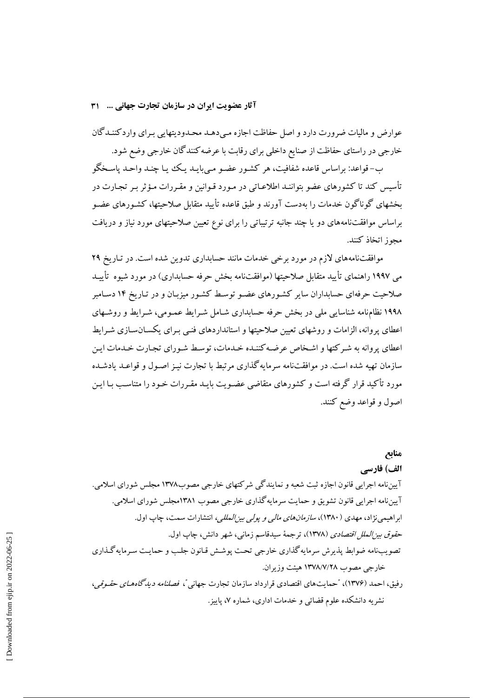آثار عضويت ايران در سازمان تجارت جهاني ... ۳۱

عوارض و مالیات ضرورت دارد و اصل حفاظت اجازه مـیدهـد محـدودیتهایی بـرای واردکننـدگان خارجی در راستای حفاظت از صنایع داخلی برای رقابت با عرضه کنندگان خارجی وضع شود.

ب-قواعد: پراساس قاعده شفافت، هر كشـور عضبو مـي پايـد يـك بـا چنـد واحـد پاسـخگو تأسیس کند تا کشورهای عضو بتواننـد اطلاعـاتی در مـورد قـوانین و مقـررات مـؤثر بـر تجـارت در بخشهای گوناگون خدمات را بهدست آورند و طبق قاعده تأیید متقابل صلاحیتها، کشـورهای عضـو براساس موافقتنامههای دو یا چند جانبه ترتیباتی را برای نوع تعیین صلاحیتهای مورد نیاز و دریافت مجوز اتخاذ كنند.

موافقتنامههای لازم در مورد برخی خدمات مانند حسابداری تدوین شده است. در تـاریخ ۲۹ می ۱۹۹۷ راهنمای تأیید متقابل صلاحیتها (موافقتنامه بخش حرفه حسابداری) در مورد شیوه تأییـد صلاحیت حرفهای حسابداران سایر کشورهای عضو توسط کشور میزبـان و در تـاریخ ۱۴ دسـامبر ۱۹۹۸ نظامنامه شناسایی ملی در بخش حرفه حسابداری شـامل شـرایط عمـومی، شـرایط و روشـهای اعطای پروانه، الزامات و روشهای تعیین صلاحیتها و استانداردهای فنبی بـرای یکسـانسـازی شـرایط اعطای پروانه به شیر کتها و اشـخاص عرضـه کننـده خـدمات، توسـط شـورای تجـارت خـدمات ایـن سازمان تهیه شده است. در موافقتنامه سرمایه گذاری مرتبط با تجارت نیـز اصـول و قواعـد یادشـده مورد تأکید قرار گرفته است و کشورهای متقاضی عضـویت بایـد مقـررات خـود را متناسـب بـا ایـن اصول و قواعد وضع کنند.

منابع الف) فارسے آييننامه اجرايي قانون اجازه ثبت شعبه و نمايندگي شركتهاي خارجي مصوب١٣٧٨ مجلس شوراي اسلامي. آييننامه اجرايي قانون تشويق و حمايت سرمايه گذاري خارجي مصوب ١٣٨١مجلس شوراي اسلامي. ابراهیمی نژاد، مهدی (۱۳۸۰)، *سازمانهای مالی و یولی بین المللی،* انتشارات سمت، چاپ اول. ح*قوق بين الملل اقتصادي* (١٣٧٨)، ترجمهٔ سيدقاسم زماني، شهر دانش، چاپ اول. تصويبiامه ضوابط پذيرش سرمايه گذاري خارجي تحت پوشش قـانون جلـب و حمايـت سـرمايه گـذاري خارجي مصوب ١٣٧٨/٧/٢٨ هيئت وزيران. رفيق، احمد (۱۳۷۶)، "حمايتهاي اقتصادي قرارداد سازمان تجارت جهاني "، ف*صلنامه ديدگاههاي حقوقي،* نشریه دانشکده علوم قضائی و خدمات اداری، شماره ۷، پاییز.